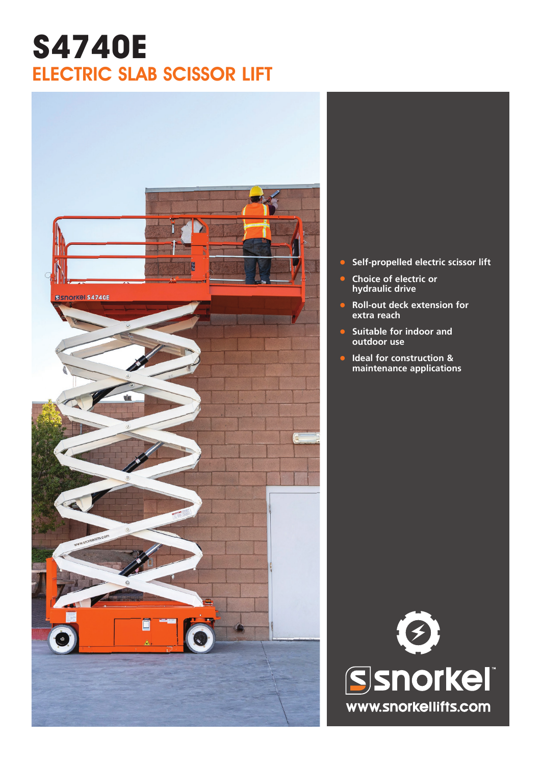# **S4740E** ELECTRIC SLAB SCISSOR LIFT



- **• Self-propelled electric scissor lift**
- **• Choice of electric or hydraulic drive**
- **• Roll-out deck extension for extra reach**
- **• Suitable for indoor and outdoor use**
- **• Ideal for construction & maintenance applications**